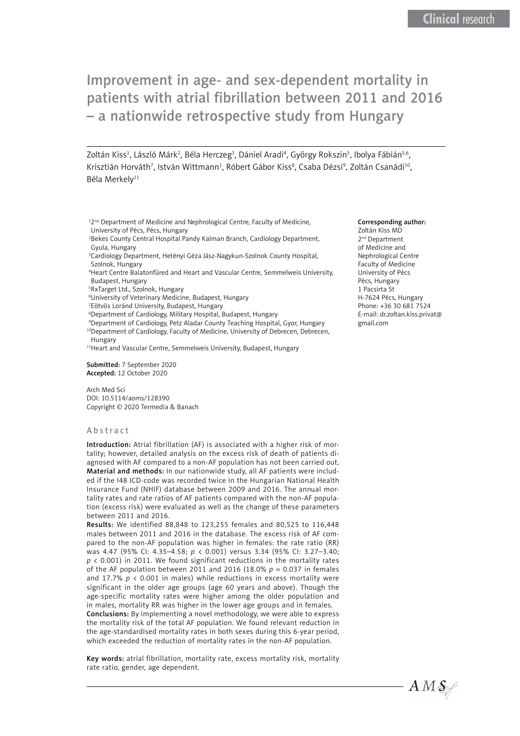Zoltán Kiss<sup>1</sup>, László Márk<sup>2</sup>, Béla Herczeg<sup>3</sup>, Dániel Aradi<sup>4</sup>, György Rokszin<sup>5</sup>, Ibolya Fábián<sup>s,6</sup>, Krisztián Horváth<sup>7</sup>, István Wittmann<sup>1</sup>, Róbert Gábor Kiss<sup>8</sup>, Csaba Dézsi<sup>9</sup>, Zoltán Csanádi<sup>10</sup>, Béla Merkelv<sup>11</sup>

<sup>12nd</sup> Department of Medicine and Nephrological Centre, Faculty of Medicine, University of Pécs, Pécs, Hungary

2 Bekes County Central Hospital Pandy Kalman Branch, Cardiology Department, Gyula, Hungary

3 Cardiology Department, Hetényi Géza Jász-Nagykun-Szolnok County Hospital, Szolnok, Hungary

4 Heart Centre Balatonfüred and Heart and Vascular Centre, Semmelweis University, Budapest, Hungary

5 RxTarget Ltd., Szolnok, Hungary

6 University of Veterinary Medicine, Budapest, Hungary

7 Eötvös Loránd University, Budapest, Hungary

8 Department of Cardiology, Military Hospital, Budapest, Hungary

9 Department of Cardiology, Petz Aladar County Teaching Hospital, Gyor, Hungary <sup>10</sup>Department of Cardiology, Faculty of Medicine, University of Debrecen, Debrecen, Hungary

<sup>11</sup> Heart and Vascular Centre, Semmelweis University, Budapest, Hungary

Submitted: 7 September 2020 Accepted: 12 October 2020

Arch Med Sci DOI: 10.5114/aoms/128390 Copyright © 2020 Termedia & Banach

#### Abstract

Introduction: Atrial fibrillation (AF) is associated with a higher risk of mortality; however, detailed analysis on the excess risk of death of patients diagnosed with AF compared to a non-AF population has not been carried out. Material and methods: In our nationwide study, all AF patients were included if the I48 ICD-code was recorded twice in the Hungarian National Health Insurance Fund (NHIF) database between 2009 and 2016. The annual mortality rates and rate ratios of AF patients compared with the non-AF population (excess risk) were evaluated as well as the change of these parameters between 2011 and 2016.

Results: We identified 88,848 to 123,255 females and 80,525 to 116,448 males between 2011 and 2016 in the database. The excess risk of AF compared to the non-AF population was higher in females: the rate ratio (RR) was 4.47 (95% CI: 4.35–4.58; *p* < 0.001) versus 3.34 (95% CI: 3.27–3.40;  $p \lt 0.001$ ) in 2011. We found significant reductions in the mortality rates of the AF population between 2011 and 2016 (18.0% *p* = 0.037 in females and 17.7%  $p \lt 0.001$  in males) while reductions in excess mortality were significant in the older age groups (age 60 years and above). Though the age-specific mortality rates were higher among the older population and in males, mortality RR was higher in the lower age groups and in females. Conclusions: By implementing a novel methodology, we were able to express the mortality risk of the total AF population. We found relevant reduction in the age-standardised mortality rates in both sexes during this 6-year period, which exceeded the reduction of mortality rates in the non-AF population.

Key words: atrial fibrillation, mortality rate, excess mortality risk, mortality rate ratio, gender, age dependent.

#### Corresponding author:

Zoltán Kiss MD 2nd Department of Medicine and Nephrological Centre Faculty of Medicine University of Pécs Pécs, Hungary 1 Pacsirta St H-7624 Pécs, Hungary Phone: +36 30 681 7524 E-mail: [dr.zoltan.kiss.privat@](mailto:dr.zoltan.kiss.privat@gmail.com) [gmail.com](mailto:dr.zoltan.kiss.privat@gmail.com)

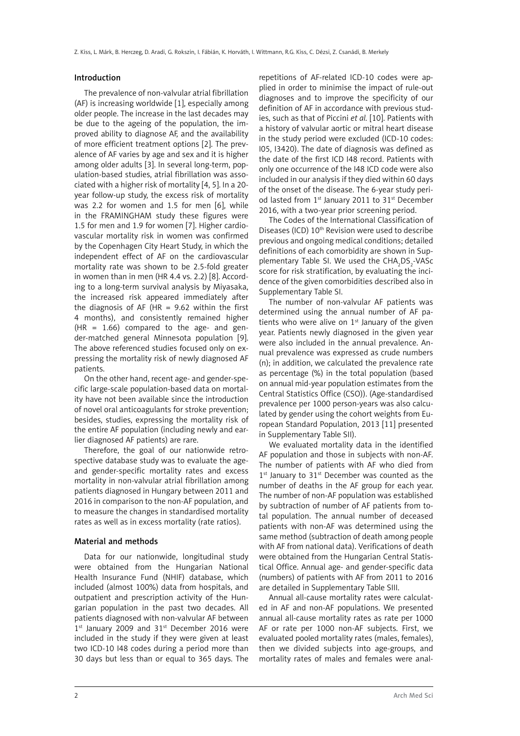## Introduction

The prevalence of non-valvular atrial fibrillation (AF) is increasing worldwide [1], especially among older people. The increase in the last decades may be due to the ageing of the population, the improved ability to diagnose AF, and the availability of more efficient treatment options [2]. The prevalence of AF varies by age and sex and it is higher among older adults [3]. In several long-term, population-based studies, atrial fibrillation was associated with a higher risk of mortality [4, 5]. In a 20 year follow-up study, the excess risk of mortality was 2.2 for women and 1.5 for men [6], while in the FRAMINGHAM study these figures were 1.5 for men and 1.9 for women [7]. Higher cardiovascular mortality risk in women was confirmed by the Copenhagen City Heart Study, in which the independent effect of AF on the cardiovascular mortality rate was shown to be 2.5-fold greater in women than in men (HR 4.4 vs. 2.2) [8]. According to a long-term survival analysis by Miyasaka, the increased risk appeared immediately after the diagnosis of AF (HR =  $9.62$  within the first 4 months), and consistently remained higher  $(HR = 1.66)$  compared to the age- and gender-matched general Minnesota population [9]. The above referenced studies focused only on expressing the mortality risk of newly diagnosed AF patients.

On the other hand, recent age- and gender-specific large-scale population-based data on mortality have not been available since the introduction of novel oral anticoagulants for stroke prevention; besides, studies, expressing the mortality risk of the entire AF population (including newly and earlier diagnosed AF patients) are rare.

Therefore, the goal of our nationwide retrospective database study was to evaluate the ageand gender-specific mortality rates and excess mortality in non-valvular atrial fibrillation among patients diagnosed in Hungary between 2011 and 2016 in comparison to the non-AF population, and to measure the changes in standardised mortality rates as well as in excess mortality (rate ratios).

### Material and methods

Data for our nationwide, longitudinal study were obtained from the Hungarian National Health Insurance Fund (NHIF) database, which included (almost 100%) data from hospitals, and outpatient and prescription activity of the Hungarian population in the past two decades. All patients diagnosed with non-valvular AF between  $1<sup>st</sup>$  January 2009 and 31 $<sup>st</sup>$  December 2016 were</sup> included in the study if they were given at least two ICD-10 I48 codes during a period more than 30 days but less than or equal to 365 days. The

repetitions of AF-related ICD-10 codes were applied in order to minimise the impact of rule-out diagnoses and to improve the specificity of our definition of AF in accordance with previous studies, such as that of Piccini *et al.* [10]. Patients with a history of valvular aortic or mitral heart disease in the study period were excluded (ICD-10 codes: I05, I3420). The date of diagnosis was defined as the date of the first ICD I48 record. Patients with only one occurrence of the I48 ICD code were also included in our analysis if they died within 60 days of the onset of the disease. The 6-year study period lasted from 1<sup>st</sup> January 2011 to 31<sup>st</sup> December 2016, with a two-year prior screening period.

The Codes of the International Classification of Diseases (ICD) 10<sup>th</sup> Revision were used to describe previous and ongoing medical conditions; detailed definitions of each comorbidity are shown in Supplementary Table SI. We used the  $\text{CHA}_{2} \text{DS}_{2} \text{-VASC}$ score for risk stratification, by evaluating the incidence of the given comorbidities described also in Supplementary Table SI.

The number of non-valvular AF patients was determined using the annual number of AF patients who were alive on  $1<sup>st</sup>$  January of the given year. Patients newly diagnosed in the given year were also included in the annual prevalence. Annual prevalence was expressed as crude numbers (n); in addition, we calculated the prevalence rate as percentage (%) in the total population (based on annual mid-year population estimates from the Central Statistics Office (CSO)). (Age-standardised prevalence per 1000 person-years was also calculated by gender using the cohort weights from European Standard Population, 2013 [11] presented in Supplementary Table SII).

We evaluated mortality data in the identified AF population and those in subjects with non-AF. The number of patients with AF who died from 1<sup>st</sup> January to 31<sup>st</sup> December was counted as the number of deaths in the AF group for each year. The number of non-AF population was established by subtraction of number of AF patients from total population. The annual number of deceased patients with non-AF was determined using the same method (subtraction of death among people with AF from national data). Verifications of death were obtained from the Hungarian Central Statistical Office. Annual age- and gender-specific data (numbers) of patients with AF from 2011 to 2016 are detailed in Supplementary Table SIII.

Annual all-cause mortality rates were calculated in AF and non-AF populations. We presented annual all-cause mortality rates as rate per 1000 AF or rate per 1000 non-AF subjects. First, we evaluated pooled mortality rates (males, females), then we divided subjects into age-groups, and mortality rates of males and females were anal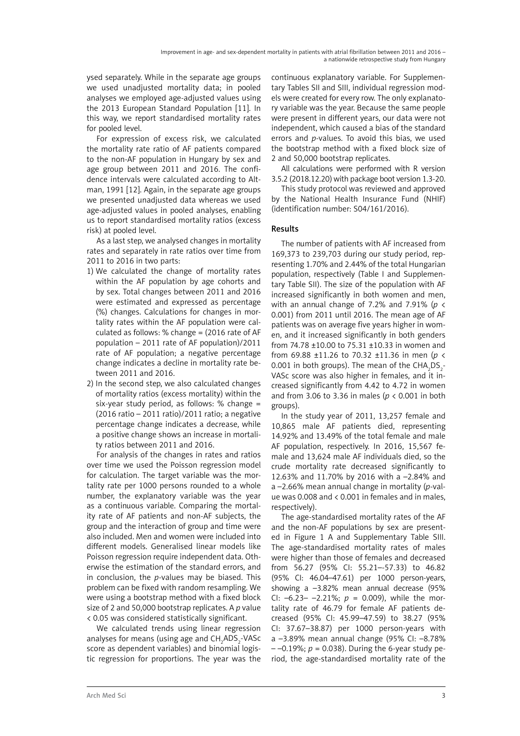ysed separately. While in the separate age groups we used unadjusted mortality data; in pooled analyses we employed age-adjusted values using the 2013 European Standard Population [11]. In this way, we report standardised mortality rates for pooled level.

For expression of excess risk, we calculated the mortality rate ratio of AF patients compared to the non-AF population in Hungary by sex and age group between 2011 and 2016. The confidence intervals were calculated according to Altman, 1991 [12]. Again, in the separate age groups we presented unadjusted data whereas we used age-adjusted values in pooled analyses, enabling us to report standardised mortality ratios (excess risk) at pooled level.

As a last step, we analysed changes in mortality rates and separately in rate ratios over time from 2011 to 2016 in two parts:

- 1) We calculated the change of mortality rates within the AF population by age cohorts and by sex. Total changes between 2011 and 2016 were estimated and expressed as percentage (%) changes. Calculations for changes in mortality rates within the AF population were calculated as follows: % change = (2016 rate of AF population – 2011 rate of AF population)/2011 rate of AF population; a negative percentage change indicates a decline in mortality rate between 2011 and 2016.
- 2) In the second step, we also calculated changes of mortality ratios (excess mortality) within the six-year study period, as follows: % change = (2016 ratio – 2011 ratio)/2011 ratio; a negative percentage change indicates a decrease, while a positive change shows an increase in mortality ratios between 2011 and 2016.

For analysis of the changes in rates and ratios over time we used the Poisson regression model for calculation. The target variable was the mortality rate per 1000 persons rounded to a whole number, the explanatory variable was the year as a continuous variable. Comparing the mortality rate of AF patients and non-AF subjects, the group and the interaction of group and time were also included. Men and women were included into different models. Generalised linear models like Poisson regression require independent data. Otherwise the estimation of the standard errors, and in conclusion, the *p*-values may be biased. This problem can be fixed with random resampling. We were using a bootstrap method with a fixed block size of 2 and 50,000 bootstrap replicates. A *p* value < 0.05 was considered statistically significant.

We calculated trends using linear regression analyses for means (using age and  $\mathsf{CH_2ADS}_2\text{-VASC}$ score as dependent variables) and binomial logistic regression for proportions. The year was the

continuous explanatory variable. For Supplementary Tables SII and SIII, individual regression models were created for every row. The only explanatory variable was the year. Because the same people were present in different years, our data were not independent, which caused a bias of the standard errors and *p*-values. To avoid this bias, we used the bootstrap method with a fixed block size of 2 and 50,000 bootstrap replicates.

All calculations were performed with R version 3.5.2 (2018.12.20) with package boot version 1.3-20.

This study protocol was reviewed and approved by the National Health Insurance Fund (NHIF) (identification number: S04/161/2016).

# Results

The number of patients with AF increased from 169,373 to 239,703 during our study period, representing 1.70% and 2.44% of the total Hungarian population, respectively (Table I and Supplementary Table SII). The size of the population with AF increased significantly in both women and men, with an annual change of 7.2% and 7.91% (*p* < 0.001) from 2011 until 2016. The mean age of AF patients was on average five years higher in women, and it increased significantly in both genders from 74.78 ±10.00 to 75.31 ±10.33 in women and from 69.88 ±11.26 to 70.32 ±11.36 in men (*p* < 0.001 in both groups). The mean of the  $CHA<sub>2</sub>DS<sub>2</sub>$ -VASc score was also higher in females, and it increased significantly from 4.42 to 4.72 in women and from 3.06 to 3.36 in males (*p* < 0.001 in both groups).

In the study year of 2011, 13,257 female and 10,865 male AF patients died, representing 14.92% and 13.49% of the total female and male AF population, respectively. In 2016, 15,567 female and 13,624 male AF individuals died, so the crude mortality rate decreased significantly to 12.63% and 11.70% by 2016 with a –2.84% and a –2.66% mean annual change in mortality (*p*-value was 0.008 and < 0.001 in females and in males, respectively).

The age-standardised mortality rates of the AF and the non-AF populations by sex are presented in Figure 1 A and Supplementary Table SIII. The age-standardised mortality rates of males were higher than those of females and decreased from 56.27 (95% CI: 55.21–-57.33) to 46.82 (95% CI: 46.04–47.61) per 1000 person-years, showing a –3.82% mean annual decrease (95% CI:  $-6.23 - -2.21\%$ ;  $p = 0.009$ ), while the mortality rate of 46.79 for female AF patients decreased (95% CI: 45.99–47.59) to 38.27 (95% CI: 37.67–38.87) per 1000 person-years with a –3.89% mean annual change (95% CI: –8.78%  $-$  –0.19%;  $p = 0.038$ ). During the 6-year study period, the age-standardised mortality rate of the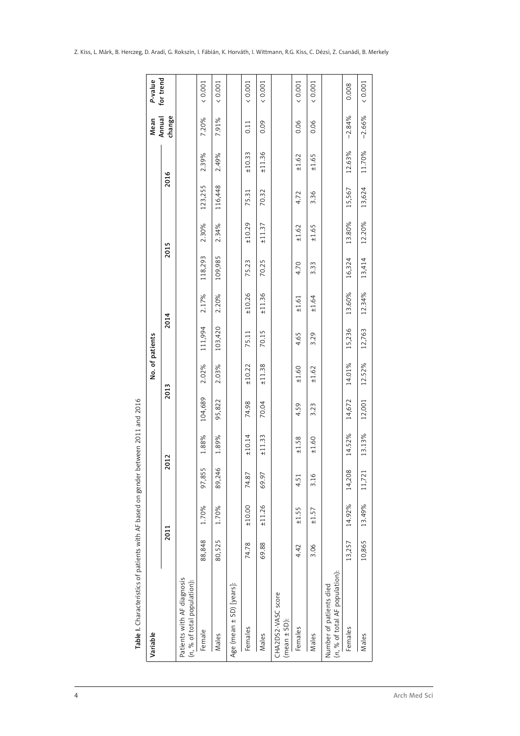| Variable                                                  |        |        |        |        |         | No. of patients |         |        |         |        |         |        | Mean             | P-value   |
|-----------------------------------------------------------|--------|--------|--------|--------|---------|-----------------|---------|--------|---------|--------|---------|--------|------------------|-----------|
|                                                           |        | 2011   | 2012   |        | 2013    |                 | 2014    |        | 2015    |        | 2016    |        | change<br>Annual | for trend |
| Patients with AF diagnosis<br>(n, % of total population): |        |        |        |        |         |                 |         |        |         |        |         |        |                  |           |
| Female                                                    | 88,848 | 1.70%  | 97,855 | 1.88%  | 104,689 | 2.02%           | 111,994 | 2.17%  | 118,293 | 2.30%  | 123,255 | 2.39%  | 7.20%            | (0.001)   |
| Males                                                     | 80,525 | 1.70%  | 89,246 | 1.89%  | 95,822  | 2.03%           | 103,420 | 2.20%  | 109,985 | 2.34%  | 116,448 | 2.49%  | 7.91%            | (0.001)   |
| Age (mean ± SD) [years]:                                  |        |        |        |        |         |                 |         |        |         |        |         |        |                  |           |
| Females                                                   | 74.78  | ±10.00 | 74.87  | ±10.14 | 74.98   | ±10.22          | 75.11   | ±10.26 | 75.23   | ±10.29 | 75.31   | ±10.33 | 0.11             | (0.001)   |
| Males                                                     | 69.88  | ±11.26 | 69.97  | ±11.33 | 70.04   | ±11.38          | 70.15   | ±11.36 | 70.25   | ±11.37 | 70.32   | ±11.36 | 0.09             | (0.001)   |
| CHA2DS2-VASC score<br>$(mean ± SD)$ :                     |        |        |        |        |         |                 |         |        |         |        |         |        |                  |           |
| Females                                                   | 4.42   | ±1.55  | 4.51   | ±1.58  | 4.59    | ±1.60           | 4.65    | ±1.61  | 4.70    | ±1.62  | 4.72    | ±1.62  | 0.06             | (0.001)   |
| Males                                                     | 3.06   | ±1.57  | 3.16   | ±1.60  | 3.23    | ±1.62           | 3.29    | ±1.64  | 3.33    | ±1.65  | 3.36    | ±1.65  | 0.06             | (0.001)   |
| (n, % of total AF population):<br>Number of patients died |        |        |        |        |         |                 |         |        |         |        |         |        |                  |           |
| Females                                                   | 13,257 | 14.92% | 14,208 | 14.52% | 14,672  | 14.01%          | 15,236  | 13.60% | 16,324  | 13.80% | 15,567  | 12.63% | $-2.84%$         | 0.008     |
| Males                                                     | 10,865 | 13.49% | 11,721 | 13.13% | 12,001  | 12.52%          | 12,763  | 12.34% | 13,414  | 12.20% | 13,624  | 11.70% | $-2.66%$         | (0.001)   |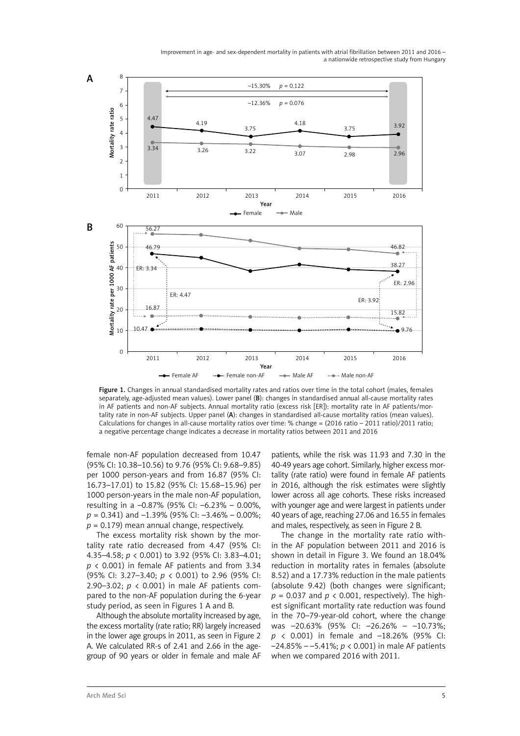

Figure 1. Changes in annual standardised mortality rates and ratios over time in the total cohort (males, females separately, age-adjusted mean values). Lower panel (B): changes in standardised annual all-cause mortality rates in AF patients and non-AF subjects. Annual mortality ratio (excess risk [ER]): mortality rate in AF patients/mortality rate in non-AF subjects. Upper panel (A): changes in standardised all-cause mortality ratios (mean values). Calculations for changes in all-cause mortality ratios over time: % change = (2016 ratio – 2011 ratio)/2011 ratio;

female non-AF population decreased from 10.47 (95% CI: 10.38–10.56) to 9.76 (95% CI: 9.68–9.85) per 1000 person-years and from 16.87 (95% CI: 16.73–17.01) to 15.82 (95% CI: 15.68–15.96) per 1000 person-years in the male non-AF population, resulting in a –0.87% (95% CI: –6.23% – 0.00%, *p* = 0.341) and –1.39% (95% CI: –3.46% – 0.00%; *p* = 0.179) mean annual change, respectively.

The excess mortality risk shown by the mortality rate ratio decreased from 4.47 (95% CI: 4.35–4.58; *p* < 0.001) to 3.92 (95% CI: 3.83–4.01; *p* < 0.001) in female AF patients and from 3.34 (95% CI: 3.27–3.40; *p* < 0.001) to 2.96 (95% CI: 2.90–3.02; *p* < 0.001) in male AF patients compared to the non-AF population during the 6-year study period, as seen in Figures 1 A and B.

Although the absolute mortality increased by age, the excess mortality (rate ratio; RR) largely increased in the lower age groups in 2011, as seen in Figure 2 A. We calculated RR-s of 2.41 and 2.66 in the agegroup of 90 years or older in female and male AF

patients, while the risk was 11.93 and 7.30 in the 40-49 years age cohort. Similarly, higher excess mortality (rate ratio) were found in female AF patients in 2016, although the risk estimates were slightly lower across all age cohorts. These risks increased with younger age and were largest in patients under 40 years of age, reaching 27.06 and 16.55 in females and males, respectively, as seen in Figure 2 B.

The change in the mortality rate ratio within the AF population between 2011 and 2016 is shown in detail in Figure 3. We found an 18.04% reduction in mortality rates in females (absolute 8.52) and a 17.73% reduction in the male patients (absolute 9.42) (both changes were significant;  $p = 0.037$  and  $p < 0.001$ , respectively). The highest significant mortality rate reduction was found in the 70–79-year-old cohort, where the change was –20.63% (95% CI: –26.26% – –10.73%; *p* < 0.001) in female and –18.26% (95% CI: –24.85% – –5.41%; *p* < 0.001) in male AF patients when we compared 2016 with 2011.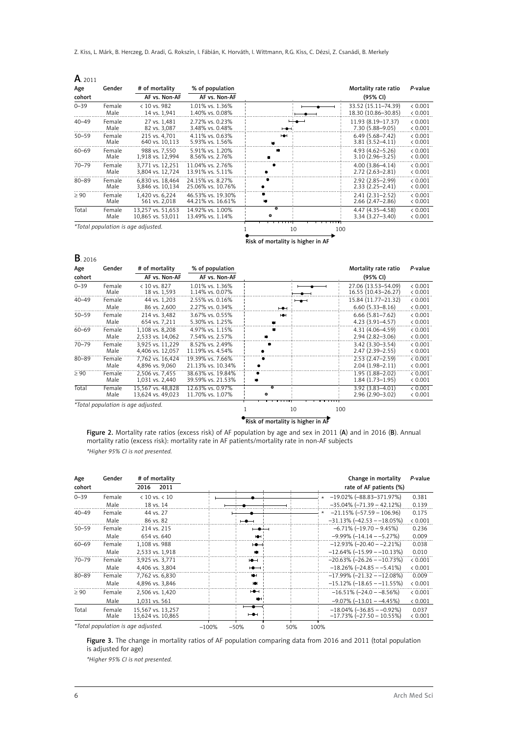Z. Kiss, L. Márk, B. Herczeg, D. Aradi, G. Rokszin, I. Fábián, K. Horváth, I. Wittmann, R.G. Kiss, C. Dézsi, Z. Csanádi, B. Merkely

| A. 2011   |                |                                        |                                        |                          |                                            |                    |
|-----------|----------------|----------------------------------------|----------------------------------------|--------------------------|--------------------------------------------|--------------------|
| Age       | Gender         | # of mortality                         | % of population                        |                          | Mortality rate ratio                       | P-value            |
| cohort    |                | AF vs. Non-AF                          | AF vs. Non-AF                          |                          | (95% CI)                                   |                    |
| $0 - 39$  | Female<br>Male | $< 10$ vs. 982<br>14 vs. 1,941         | 1.01% vs. 1.36%<br>1.40% vs. 0.08%     |                          | 33.52 (15.11-74.39)<br>18.30 (10.86-30.85) | & 0.001<br>< 0.001 |
| $40 - 49$ | Female<br>Male | 27 vs. 1,481<br>82 vs. 3,087           | 2.72% vs. 0.23%<br>3.48% vs. 0.48%     | $\overline{\phantom{a}}$ | 11.93 (8.19 - 17.37)<br>7.30 (5.88-9.05)   | & 0.001<br>< 0.001 |
| $50 - 59$ | Female<br>Male | 215 vs. 4,701<br>640 vs. 10,113        | 4.11% vs. 0.63%<br>5.93% vs. 1.56%     | HOH                      | $6.49(5.68 - 7.42)$<br>$3.81(3.52 - 4.11)$ | < 0.001<br>< 0.001 |
| $60 - 69$ | Female<br>Male | 988 vs. 7.550<br>1,918 vs. 12,994      | 5.91% vs. 1.20%<br>8.56% vs. 2.76%     |                          | $4.93(4.62 - 5.26)$<br>$3.10(2.96 - 3.25)$ | < 0.001<br>< 0.001 |
| $70 - 79$ | Female<br>Male | 3.771 vs. 12.251<br>3,804 vs. 12,724   | 11.04% vs. 2.76%<br>13.91% vs. 5.11%   |                          | $4.00(3.86 - 4.14)$<br>$2.72(2.63 - 2.81)$ | < 0.001<br>< 0.001 |
| $80 - 89$ | Female<br>Male | 6.830 vs. 18.464<br>3,846 vs. 10,134   | 24.15% vs. 8.27%<br>25.06% vs. 10.76%  |                          | 2.92 (2.85-2.99)<br>$2.33(2.25 - 2.41)$    | < 0.001<br>< 0.001 |
| $\geq 90$ | Female<br>Male | 1,420 vs. 6,224<br>561 vs. 2.018       | 46.53% vs. 19.30%<br>44.21% vs. 16.61% |                          | $2.41(2.31 - 2.52)$<br>$2.66(2.47 - 2.86)$ | < 0.001<br>< 0.001 |
| Total     | Female<br>Male | 13.257 vs. 51.653<br>10,865 vs. 53,011 | 14.92% vs. 1.00%<br>13.49% vs. 1.14%   | ъ<br>$\bullet$           | 4.47 (4.35-4.58)<br>$3.34(3.27 - 3.40)$    | < 0.001<br>< 0.001 |
|           |                | *Total population is age adjusted.     |                                        | 10<br>100                |                                            |                    |

Risk of mortality is higher in AF

| Age<br>cohort | Gender         | # of mortality<br>AF vs. Non-AF        | % of population<br>AF vs. Non-AF       |                |     |     | Mortality rate ratio<br>(95% CI)           | P-value            |
|---------------|----------------|----------------------------------------|----------------------------------------|----------------|-----|-----|--------------------------------------------|--------------------|
| $0 - 39$      | Female<br>Male | $< 10$ vs. 827<br>18 vs. 1,593         | 1.01% vs. 1.36%<br>1.14% vs. 0.07%     |                |     |     | 27.06 (13.53-54.09)<br>16.55 (10.43-26.27) | < 0.001<br>< 0.001 |
| $40 - 49$     | Female<br>Male | 44 vs. 1.203<br>86 vs. 2.600           | 2.55% vs. 0.16%<br>2.27% vs. 0.34%     | $-$            | $-$ |     | 15.84 (11.77-21.32)<br>$6.60(5.33 - 8.16)$ | & 0.001<br>< 0.001 |
| $50 - 59$     | Female<br>Male | 214 vs. 3.482<br>654 vs. 7,211         | 3.67% vs. 0.55%<br>5.30% vs. 1.25%     | н÷             |     |     | $6.66(5.81 - 7.62)$<br>4.23 (3.91-4.57)    | & 0.001<br>< 0.001 |
| $60 - 69$     | Female<br>Male | 1.108 vs. 8.208<br>2,533 vs. 14,062    | 4.97% vs. 1.15%<br>7.54% vs. 2.57%     |                |     |     | 4.31 (4.06-4.59)<br>$2.94(2.82 - 3.06)$    | < 0.001<br>< 0.001 |
| $70 - 79$     | Female<br>Male | 3.925 vs. 11.229<br>4,406 vs. 12,057   | 8.52% vs. 2.49%<br>11.19% vs. 4.54%    |                |     |     | $3.42(3.30 - 3.54)$<br>$2.47(2.39 - 2.55)$ | < 0.001<br>< 0.001 |
| $80 - 89$     | Female<br>Male | 7.762 vs. 16.424<br>4,896 vs. 9,060    | 19.39% vs. 7.66%<br>21.13% vs. 10.34%  |                |     |     | $2.53(2.47-2.59)$<br>$2.04(1.98 - 2.11)$   | < 0.001<br>< 0.001 |
| $\geq 90$     | Female<br>Male | 2.506 vs. 7.455<br>1,031 vs. 2,440     | 38.63% vs. 19.84%<br>39.59% vs. 21.53% |                |     |     | $1.95(1.88 - 2.02)$<br>$1.84(1.73 - 1.95)$ | < 0.001<br>< 0.001 |
| Total         | Female<br>Male | 15,567 vs. 48,828<br>13,624 vs. 49,023 | 12.63% vs. 0.97%<br>11.70% vs. 1.07%   | $\bullet$<br>۰ |     |     | 3.92 (3.83-4.01)<br>$2.96(2.90 - 3.02)$    | < 0.001<br>< 0.001 |
|               |                | *Total population is age adjusted.     |                                        |                | 10  | 100 |                                            |                    |

Risk of mortality is higher in AF

Figure 2. Mortality rate ratios (excess risk) of AF population by age and sex in 2011 (A) and in 2016 (B). Annual mortality ratio (excess risk): mortality rate in AF patients/mortality rate in non-AF subjects *\*Higher 95% CI is not presented.*

| Age<br>cohort | Gender         | # of mortality<br>2011<br>2016         |                                      | Change in mortality<br>rate of AF patients (%)               | P-value          |
|---------------|----------------|----------------------------------------|--------------------------------------|--------------------------------------------------------------|------------------|
| $0 - 39$      | Female         | $< 10$ vs. $< 10$                      |                                      | $\star$ -19.02% (-88.83-371.97%)                             | 0.381            |
|               | Male           | 18 vs. 14                              |                                      | $-35.04\%$ ( $-71.39 - 42.12\%$ )                            | 0.139            |
| $40 - 49$     | Female         | 44 vs. 27                              |                                      | $-21.15\%$ ( $-57.59 - 106.96$ )                             | 0.175            |
|               | Male           | 86 vs. 82                              | $\overline{\phantom{a}}$             | $-31.13\%$ (-42.53 - -18.05%)                                | & 0.001          |
| $50 - 59$     | Female         | 214 vs. 215                            | $-\bullet$ $-$                       | $-6.71\%$ (-19.70 - 9.45%)                                   | 0.236            |
|               | Male           | 654 vs. 640                            | ю                                    | $-9.99\%$ ( $-14.14 - -5.27\%$ )                             | 0.009            |
| $60 - 69$     | Female         | 1.108 vs. 988                          | $\rightarrow$                        | $-12.93\%$ (-20.40 - -2.21%)                                 | 0.038            |
|               | Male           | 2,533 vs. 1,918                        |                                      | $-12.64\%$ (-15.99 - -10.13%)                                | 0.010            |
| $70 - 79$     | Female         | 3.925 vs. 3.771                        | $\rightarrow$                        | $-20.63\%$ ( $-26.26 - 10.73\%$ )                            | & 0.001          |
|               | Male           | 4,406 vs. 3,804                        | $\rightarrow$                        | $-18.26\%$ ( $-24.85 - -5.41\%$ )                            | < 0.001          |
| $80 - 89$     | Female         | 7,762 vs. 6,830                        | <b>IOH</b>                           | $-17.99\%$ (-21.32 - -12.08%)                                | 0.009            |
|               | Male           | 4,896 vs. 3,846                        | юH                                   | $-15.12\%$ (-18.65 - -11.55%)                                | < 0.001          |
| $\geq 90$     | Female         | 2,506 vs. 1,420                        | $\overline{\phantom{a}}$             | $-16.51\%$ ( $-24.0 - 8.56\%$ )                              | < 0.001          |
|               | Male           | 1.031 vs. 561                          | юH                                   | $-9.07\%$ ( $-13.01 - -4.45\%$ )                             | < 0.001          |
| Total         | Female<br>Male | 15,567 vs. 13,257<br>13,624 vs. 10,865 | $\overline{\phantom{a}}$             | $-18.04\%$ (-36.85 - -0.92%)<br>$-17.73\%$ (-27.50 - 10.55%) | 0.037<br>< 0.001 |
|               |                | *Total population is age adjusted.     | $-100%$<br>$-50%$<br>50%<br>$\Omega$ | 100%                                                         |                  |

Figure 3. The change in mortality ratios of AF population comparing data from 2016 and 2011 (total population is adjusted for age)

*\*Higher 95% CI is not presented.*

**B**. 2016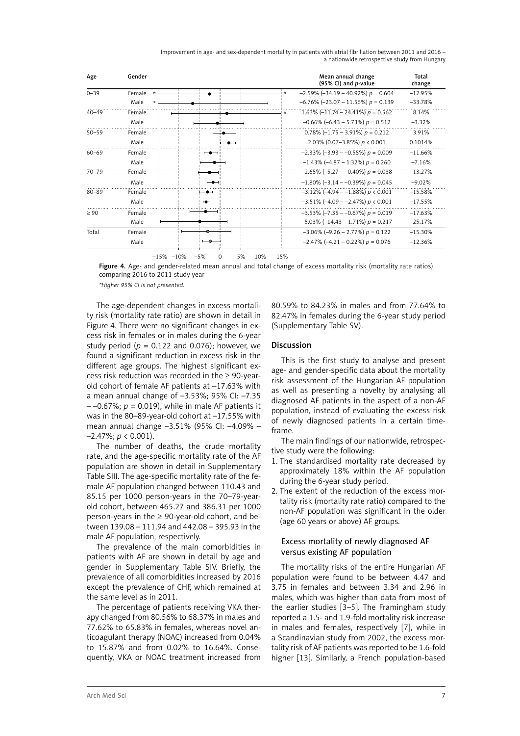| Improvement in age- and sex-dependent mortality in patients with atrial fibrillation between 2011 and 2016 - |  |                                               |  |  |
|--------------------------------------------------------------------------------------------------------------|--|-----------------------------------------------|--|--|
|                                                                                                              |  | a nationwide retrospective study from Hungary |  |  |

| Age       | Gender            |    |  | Mean annual change<br>(95% CI) and $p$ -value | Total<br>change |
|-----------|-------------------|----|--|-----------------------------------------------|-----------------|
| $0 - 39$  | Female<br>$\star$ |    |  | $-2.59\%$ (-34.19 - 40.92%) $p = 0.604$       | $-12.95%$       |
|           | Male              |    |  | $-6.76\%$ (-23.07 - 11.56%) $p = 0.139$       | $-33.78%$       |
| $40 - 49$ | Female            |    |  | 1.63% $(-11.74 - 24.41%) p = 0.562$           | 8.14%           |
|           | Male              |    |  | $-0.66\%$ (-6.43 – 5.73%) $p = 0.512$         | $-3.32%$        |
| $50 - 59$ | Female            |    |  | $0.78\%$ (-1.75 - 3.91%) $p = 0.212$          | 3.91%           |
|           | Male              |    |  | 2.03% (0.07-3.85%) $p < 0.001$                | 0.1014%         |
| $60 - 69$ | Female            |    |  | $-2.33\%$ (-3.93 - -0.55%) $p = 0.009$        | $-11.66%$       |
|           | Male              |    |  | $-1.43\%$ (-4.87 - 1.32%) $p = 0.260$         | $-7.16%$        |
| $70 - 79$ | Female            |    |  | $-2.65\%$ (-5.27 - -0.40%) $p = 0.038$        | $-13.27%$       |
|           | Male              | ⊢⊷ |  | $-1.80\%$ (-3.14 - -0.39%) $p = 0.045$        | $-9.02%$        |
| 80-89     | Female            |    |  | $-3.12\%$ (-4.94 - -1.88%) $p < 0.001$        | $-15.58%$       |
|           | Male              | ⊷  |  | $-3.51\%$ (-4.09 - -2.47%) $p < 0.001$        | $-17.55%$       |
| > 90      | Female            |    |  | $-3.53\%$ (-7.35 - -0.67%) $p = 0.019$        | $-17.63%$       |
|           | Male              |    |  | $-5.03\%$ (-14.43 - 1.71%) $p = 0.217$        | $-25.17%$       |
| Total     | Female            |    |  | $-3.06\%$ (-9.26 - 2.77%) $p = 0.122$         | $-15.30%$       |
|           | Male              |    |  | $-2.47\%$ (-4.21 - 0.22%) $p = 0.076$         | $-12.36%$       |

–15% –10% –5% 0 5% 10% 15%

Figure 4. Age- and gender-related mean annual and total change of excess mortality risk (mortality rate ratios) comparing 2016 to 2011 study year

*\*Higher 95% CI is not presented.*

The age-dependent changes in excess mortality risk (mortality rate ratio) are shown in detail in Figure 4. There were no significant changes in excess risk in females or in males during the 6-year study period ( $p = 0.122$  and 0.076); however, we found a significant reduction in excess risk in the different age groups. The highest significant excess risk reduction was recorded in the  $\geq$  90-yearold cohort of female AF patients at –17.63% with a mean annual change of –3.53%; 95% CI: –7.35  $-$  –0.67%;  $p = 0.019$ ), while in male AF patients it was in the 80–89-year-old cohort at –17.55% with mean annual change –3.51% (95% CI: –4.09% – –2.47%; *p* < 0.001).

The number of deaths, the crude mortality rate, and the age-specific mortality rate of the AF population are shown in detail in Supplementary Table SIII. The age-specific mortality rate of the female AF population changed between 110.43 and 85.15 per 1000 person-years in the 70–79-yearold cohort, between 465.27 and 386.31 per 1000 person-years in the  $\geq$  90-year-old cohort, and between 139.08 – 111.94 and 442.08 – 395.93 in the male AF population, respectively.

The prevalence of the main comorbidities in patients with AF are shown in detail by age and gender in Supplementary Table SIV. Briefly, the prevalence of all comorbidities increased by 2016 except the prevalence of CHF, which remained at the same level as in 2011.

The percentage of patients receiving VKA therapy changed from 80.56% to 68.37% in males and 77.62% to 65.83% in females, whereas novel anticoagulant therapy (NOAC) increased from 0.04% to 15.87% and from 0.02% to 16.64%. Consequently, VKA or NOAC treatment increased from

80.59% to 84.23% in males and from 77.64% to 82.47% in females during the 6-year study period (Supplementary Table SV).

## Discussion

This is the first study to analyse and present age- and gender-specific data about the mortality risk assessment of the Hungarian AF population as well as presenting a novelty by analysing all diagnosed AF patients in the aspect of a non-AF population, instead of evaluating the excess risk of newly diagnosed patients in a certain timeframe.

The main findings of our nationwide, retrospective study were the following:

- 1. The standardised mortality rate decreased by approximately 18% within the AF population during the 6-year study period.
- 2. The extent of the reduction of the excess mortality risk (mortality rate ratio) compared to the non-AF population was significant in the older (age 60 years or above) AF groups.

## Excess mortality of newly diagnosed AF versus existing AF population

The mortality risks of the entire Hungarian AF population were found to be between 4.47 and 3.75 in females and between 3.34 and 2.96 in males, which was higher than data from most of the earlier studies [3–5]. The Framingham study reported a 1.5- and 1.9-fold mortality risk increase in males and females, respectively [7], while in a Scandinavian study from 2002, the excess mortality risk of AF patients was reported to be 1.6-fold higher [13]. Similarly, a French population-based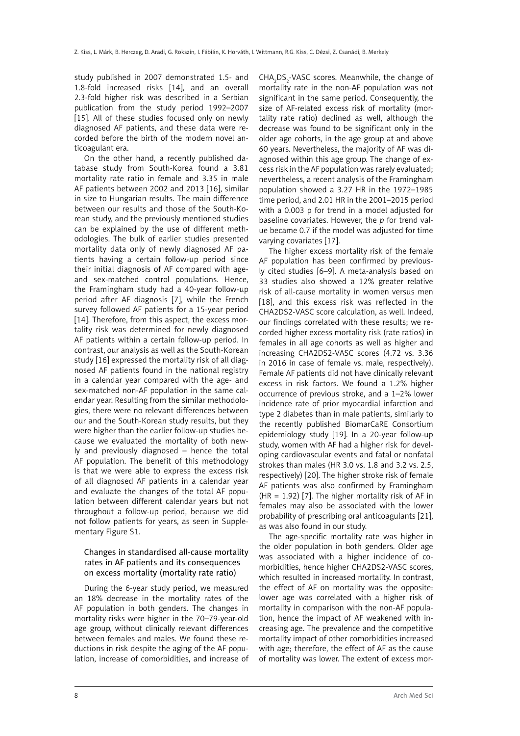study published in 2007 demonstrated 1.5- and 1.8-fold increased risks [14], and an overall 2.3-fold higher risk was described in a Serbian publication from the study period 1992–2007 [15]. All of these studies focused only on newly diagnosed AF patients, and these data were recorded before the birth of the modern novel anticoagulant era.

On the other hand, a recently published database study from South-Korea found a 3.81 mortality rate ratio in female and 3.35 in male AF patients between 2002 and 2013 [16], similar in size to Hungarian results. The main difference between our results and those of the South-Korean study, and the previously mentioned studies can be explained by the use of different methodologies. The bulk of earlier studies presented mortality data only of newly diagnosed AF patients having a certain follow-up period since their initial diagnosis of AF compared with ageand sex-matched control populations. Hence, the Framingham study had a 40-year follow-up period after AF diagnosis [7], while the French survey followed AF patients for a 15-year period [14]. Therefore, from this aspect, the excess mortality risk was determined for newly diagnosed AF patients within a certain follow-up period. In contrast, our analysis as well as the South-Korean study [16] expressed the mortality risk of all diagnosed AF patients found in the national registry in a calendar year compared with the age- and sex-matched non-AF population in the same calendar year. Resulting from the similar methodologies, there were no relevant differences between our and the South-Korean study results, but they were higher than the earlier follow-up studies because we evaluated the mortality of both newly and previously diagnosed – hence the total AF population. The benefit of this methodology is that we were able to express the excess risk of all diagnosed AF patients in a calendar year and evaluate the changes of the total AF population between different calendar years but not throughout a follow-up period, because we did not follow patients for years, as seen in Supplementary Figure S1.

# Changes in standardised all-cause mortality rates in AF patients and its consequences on excess mortality (mortality rate ratio)

During the 6-year study period, we measured an 18% decrease in the mortality rates of the AF population in both genders. The changes in mortality risks were higher in the 70–79-year-old age group, without clinically relevant differences between females and males. We found these reductions in risk despite the aging of the AF population, increase of comorbidities, and increase of

CHA<sub>2</sub>DS<sub>2</sub>-VASC scores. Meanwhile, the change of mortality rate in the non-AF population was not significant in the same period. Consequently, the size of AF-related excess risk of mortality (mortality rate ratio) declined as well, although the decrease was found to be significant only in the older age cohorts, in the age group at and above 60 years. Nevertheless, the majority of AF was diagnosed within this age group. The change of excess risk in the AF population was rarely evaluated; nevertheless, a recent analysis of the Framingham population showed a 3.27 HR in the 1972–1985 time period, and 2.01 HR in the 2001–2015 period with a 0.003 p for trend in a model adjusted for baseline covariates. However, the *p* for trend value became 0.7 if the model was adjusted for time varying covariates [17].

The higher excess mortality risk of the female AF population has been confirmed by previously cited studies [6–9]. A meta-analysis based on 33 studies also showed a 12% greater relative risk of all-cause mortality in women versus men [18], and this excess risk was reflected in the CHA2DS2-VASC score calculation, as well. Indeed, our findings correlated with these results; we recorded higher excess mortality risk (rate ratios) in females in all age cohorts as well as higher and increasing CHA2DS2-VASC scores (4.72 vs. 3.36 in 2016 in case of female vs. male, respectively). Female AF patients did not have clinically relevant excess in risk factors. We found a 1.2% higher occurrence of previous stroke, and a 1–2% lower incidence rate of prior myocardial infarction and type 2 diabetes than in male patients, similarly to the recently published BiomarCaRE Consortium epidemiology study [19]. In a 20-year follow-up study, women with AF had a higher risk for developing cardiovascular events and fatal or nonfatal strokes than males (HR 3.0 vs. 1.8 and 3.2 vs. 2.5, respectively) [20]. The higher stroke risk of female AF patients was also confirmed by Framingham (HR = 1.92) [7]. The higher mortality risk of AF in females may also be associated with the lower probability of prescribing oral anticoagulants [21], as was also found in our study.

The age-specific mortality rate was higher in the older population in both genders. Older age was associated with a higher incidence of comorbidities, hence higher CHA2DS2-VASC scores, which resulted in increased mortality. In contrast, the effect of AF on mortality was the opposite: lower age was correlated with a higher risk of mortality in comparison with the non-AF population, hence the impact of AF weakened with increasing age. The prevalence and the competitive mortality impact of other comorbidities increased with age; therefore, the effect of AF as the cause of mortality was lower. The extent of excess mor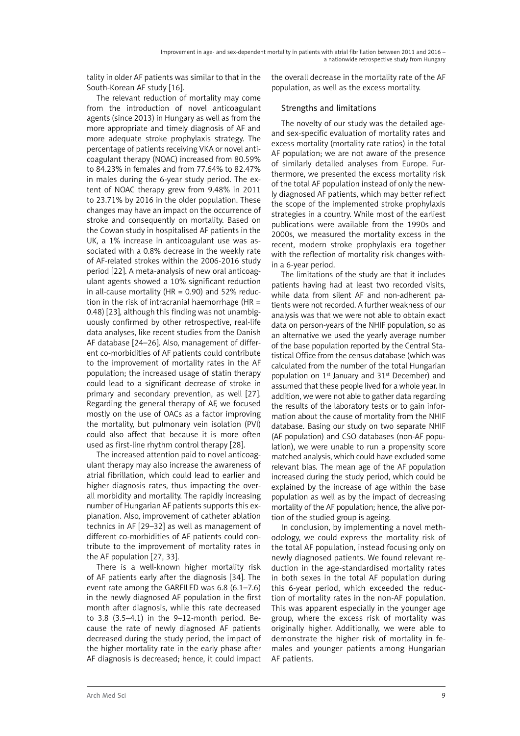tality in older AF patients was similar to that in the South-Korean AF study [16].

The relevant reduction of mortality may come from the introduction of novel anticoagulant agents (since 2013) in Hungary as well as from the more appropriate and timely diagnosis of AF and more adequate stroke prophylaxis strategy. The percentage of patients receiving VKA or novel anticoagulant therapy (NOAC) increased from 80.59% to 84.23% in females and from 77.64% to 82.47% in males during the 6-year study period. The extent of NOAC therapy grew from 9.48% in 2011 to 23.71% by 2016 in the older population. These changes may have an impact on the occurrence of stroke and consequently on mortality. Based on the Cowan study in hospitalised AF patients in the UK, a 1% increase in anticoagulant use was associated with a 0.8% decrease in the weekly rate of AF-related strokes within the 2006-2016 study period [22]. A meta-analysis of new oral anticoagulant agents showed a 10% significant reduction in all-cause mortality (HR =  $0.90$ ) and 52% reduction in the risk of intracranial haemorrhage ( $HR =$ 0.48) [23], although this finding was not unambiguously confirmed by other retrospective, real-life data analyses, like recent studies from the Danish AF database [24–26]. Also, management of different co-morbidities of AF patients could contribute to the improvement of mortality rates in the AF population; the increased usage of statin therapy could lead to a significant decrease of stroke in primary and secondary prevention, as well [27]. Regarding the general therapy of AF, we focused mostly on the use of OACs as a factor improving the mortality, but pulmonary vein isolation (PVI) could also affect that because it is more often used as first-line rhythm control therapy [28].

The increased attention paid to novel anticoagulant therapy may also increase the awareness of atrial fibrillation, which could lead to earlier and higher diagnosis rates, thus impacting the overall morbidity and mortality. The rapidly increasing number of Hungarian AF patients supports this explanation. Also, improvement of catheter ablation technics in AF [29–32] as well as management of different co-morbidities of AF patients could contribute to the improvement of mortality rates in the AF population [27, 33].

There is a well-known higher mortality risk of AF patients early after the diagnosis [34]. The event rate among the GARFILED was 6.8 (6.1–7.6) in the newly diagnosed AF population in the first month after diagnosis, while this rate decreased to 3.8 (3.5–4.1) in the 9–12-month period. Because the rate of newly diagnosed AF patients decreased during the study period, the impact of the higher mortality rate in the early phase after AF diagnosis is decreased; hence, it could impact the overall decrease in the mortality rate of the AF population, as well as the excess mortality.

# Strengths and limitations

The novelty of our study was the detailed ageand sex-specific evaluation of mortality rates and excess mortality (mortality rate ratios) in the total AF population; we are not aware of the presence of similarly detailed analyses from Europe. Furthermore, we presented the excess mortality risk of the total AF population instead of only the newly diagnosed AF patients, which may better reflect the scope of the implemented stroke prophylaxis strategies in a country. While most of the earliest publications were available from the 1990s and 2000s, we measured the mortality excess in the recent, modern stroke prophylaxis era together with the reflection of mortality risk changes within a 6-year period.

The limitations of the study are that it includes patients having had at least two recorded visits, while data from silent AF and non-adherent patients were not recorded. A further weakness of our analysis was that we were not able to obtain exact data on person-years of the NHIF population, so as an alternative we used the yearly average number of the base population reported by the Central Statistical Office from the census database (which was calculated from the number of the total Hungarian population on  $1<sup>st</sup>$  January and  $31<sup>st</sup>$  December) and assumed that these people lived for a whole year. In addition, we were not able to gather data regarding the results of the laboratory tests or to gain information about the cause of mortality from the NHIF database. Basing our study on two separate NHIF (AF population) and CSO databases (non-AF population), we were unable to run a propensity score matched analysis, which could have excluded some relevant bias. The mean age of the AF population increased during the study period, which could be explained by the increase of age within the base population as well as by the impact of decreasing mortality of the AF population; hence, the alive portion of the studied group is ageing.

In conclusion, by implementing a novel methodology, we could express the mortality risk of the total AF population, instead focusing only on newly diagnosed patients. We found relevant reduction in the age-standardised mortality rates in both sexes in the total AF population during this 6-year period, which exceeded the reduction of mortality rates in the non-AF population. This was apparent especially in the younger age group, where the excess risk of mortality was originally higher. Additionally, we were able to demonstrate the higher risk of mortality in females and younger patients among Hungarian AF patients.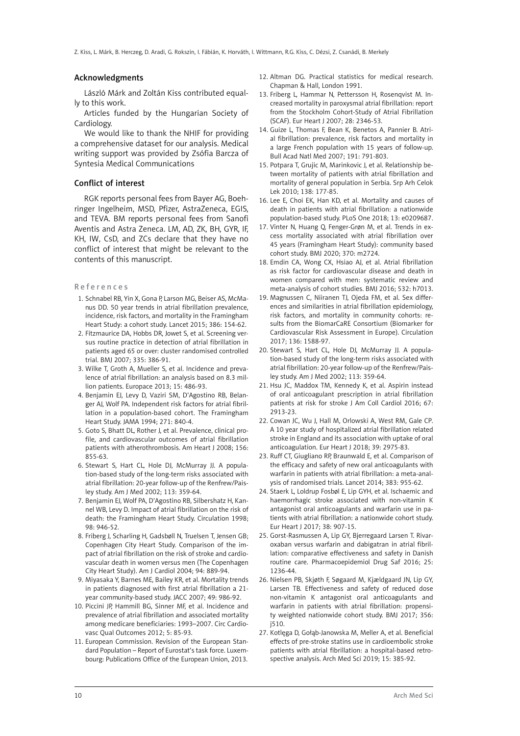#### Acknowledgments

László Márk and Zoltán Kiss contributed equally to this work.

Articles funded by the Hungarian Society of Cardiology.

We would like to thank the NHIF for providing a comprehensive dataset for our analysis. Medical writing support was provided by Zsófia Barcza of Syntesia Medical Communications

#### Conflict of interest

RGK reports personal fees from Bayer AG, Boehringer Ingelheim, MSD, Pfizer, AstraZeneca, EGIS, and TEVA. BM reports personal fees from Sanofi Aventis and Astra Zeneca. LM, AD, ZK, BH, GYR, IF, KH, IW, CsD, and ZCs declare that they have no conflict of interest that might be relevant to the contents of this manuscript.

References

- 1. Schnabel RB, Yin X, Gona P, Larson MG, Beiser AS, McManus DD. 50 year trends in atrial fibrillation prevalence, incidence, risk factors, and mortality in the Framingham Heart Study: a cohort study. Lancet 2015; 386: 154-62.
- 2. Fitzmaurice DA, Hobbs DR, Jowet S, et al. Screening versus routine practice in detection of atrial fibrillation in patients aged 65 or over: cluster randomised controlled trial. BMJ 2007; 335: 386-91.
- 3. Wilke T, Groth A, Mueller S, et al. Incidence and prevalence of atrial fibrillation: an analysis based on 8.3 million patients. Europace 2013; 15: 486-93.
- 4. Benjamin EJ, Levy D, Vaziri SM, D'Agostino RB, Belanger AJ, Wolf PA. Independent risk factors for atrial fibrillation in a population-based cohort. The Framingham Heart Study. JAMA 1994; 271: 840-4.
- 5. Goto S, Bhatt DL, Rother J, et al. Prevalence, clinical profile, and cardiovascular outcomes of atrial fibrillation patients with atherothrombosis. Am Heart J 2008; 156: 855-63.
- 6. Stewart S, Hart CL, Hole DJ, McMurray JJ. A population-based study of the long-term risks associated with atrial fibrillation: 20-year follow-up of the Renfrew/Paisley study. Am J Med 2002; 113: 359-64.
- 7. Benjamin EJ, Wolf PA, D'Agostino RB, Silbershatz H, Kannel WB, Levy D. Impact of atrial fibrillation on the risk of death: the Framingham Heart Study. Circulation 1998; 98: 946-52.
- 8. Friberg J, Scharling H, Gadsbøll N, Truelsen T, Jensen GB; Copenhagen City Heart Study. Comparison of the impact of atrial fibrillation on the risk of stroke and cardiovascular death in women versus men (The Copenhagen City Heart Study). Am J Cardiol 2004; 94: 889-94.
- 9. Miyasaka Y, Barnes ME, Bailey KR, et al. Mortality trends in patients diagnosed with first atrial fibrillation a 21 year community-based study. JACC 2007; 49: 986-92.
- 10. Piccini JP, Hammill BG, Sinner MF, et al. Incidence and prevalence of atrial fibrillation and associated mortality among medicare beneficiaries: 1993–2007. Circ Cardiovasc Qual Outcomes 2012; 5: 85-93.
- 11. European Commission. Revision of the European Standard Population – Report of Eurostat's task force. Luxembourg: Publications Office of the European Union, 2013.
- 12. Altman DG. Practical statistics for medical research. Chapman & Hall, London 1991.
- 13. Friberg L, Hammar N, Pettersson H, Rosenqvist M. Increased mortality in paroxysmal atrial fibrillation: report from the Stockholm Cohort-Study of Atrial Fibrillation (SCAF). Eur Heart J 2007; 28: 2346-53.
- 14. Guize L, Thomas F, Bean K, Benetos A, Pannier B. Atrial fibrillation: prevalence, risk factors and mortality in a large French population with 15 years of follow-up. Bull Acad Natl Med 2007; 191: 791-803.
- 15. Potpara T, Grujic M, Marinkovic J, et al. Relationship between mortality of patients with atrial fibrillation and mortality of general population in Serbia. Srp Arh Celok Lek 2010; 138: 177-85.
- 16. Lee E, Choi EK, Han KD, et al. Mortality and causes of death in patients with atrial fibrillation: a nationwide population-based study. PLoS One 2018; 13: e0209687.
- 17. Vinter N, Huang Q, Fenger-Grøn M, et al. Trends in excess mortality associated with atrial fibrillation over 45 years (Framingham Heart Study): community based cohort study. BMJ 2020; 370: m2724.
- 18. Emdin CA, Wong CX, Hsiao AJ, et al. Atrial fibrillation as risk factor for cardiovascular disease and death in women compared with men: systematic review and meta-analysis of cohort studies. BMJ 2016; 532: h7013.
- 19. Magnussen C, Niiranen TJ, Ojeda FM, et al. Sex differences and similarities in atrial fibrillation epidemiology, risk factors, and mortality in community cohorts: results from the BiomarCaRE Consortium (Biomarker for Cardiovascular Risk Assessment in Europe). Circulation 2017; 136: 1588-97.
- 20. Stewart S, Hart CL, Hole DJ, McMurray JJ. A population-based study of the long-term risks associated with atrial fibrillation: 20-year follow-up of the Renfrew/Paisley study. Am J Med 2002; 113: 359-64.
- 21. Hsu JC, Maddox TM, Kennedy K, et al. Aspirin instead of oral anticoagulant prescription in atrial fibrillation patients at risk for stroke J Am Coll Cardiol 2016; 67: 2913-23.
- 22. Cowan JC, Wu J, Hall M, Orlowski A, West RM, Gale CP. A 10 year study of hospitalized atrial fibrillation related stroke in England and its association with uptake of oral anticoagulation. Eur Heart J 2018; 39: 2975-83.
- 23. Ruff CT, Giugliano RP, Braunwald E, et al. Comparison of the efficacy and safety of new oral anticoagulants with warfarin in patients with atrial fibrillation: a meta-analysis of randomised trials. Lancet 2014; 383: 955-62.
- 24. Staerk L, Loldrup Fosbøl E, Lip GYH, et al. Ischaemic and haemorrhagic stroke associated with non-vitamin K antagonist oral anticoagulants and warfarin use in patients with atrial fibrillation: a nationwide cohort study. Eur Heart J 2017; 38: 907-15.
- 25. Gorst-Rasmussen A, Lip GY, Bjerregaard Larsen T. Rivaroxaban versus warfarin and dabigatran in atrial fibrillation: comparative effectiveness and safety in Danish routine care. Pharmacoepidemiol Drug Saf 2016; 25: 1236-44.
- 26. Nielsen PB, Skjøth F, Søgaard M, Kjældgaard JN, Lip GY, Larsen TB. Effectiveness and safety of reduced dose non-vitamin K antagonist oral anticoagulants and warfarin in patients with atrial fibrillation: propensity weighted nationwide cohort study. BMJ 2017; 356: j510.
- 27. Kotlęga D, Gołąb-Janowska M, Meller A, et al. Beneficial effects of pre-stroke statins use in cardioembolic stroke patients with atrial fibrillation: a hospital-based retrospective analysis. Arch Med Sci 2019; 15: 385-92.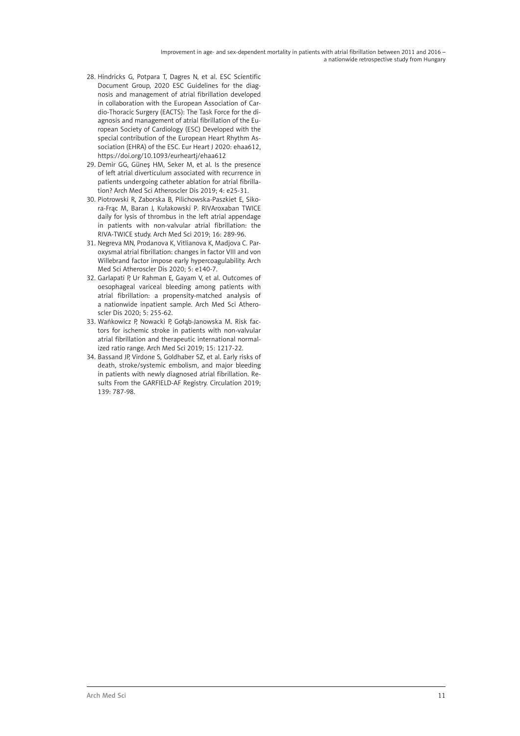- 28. Hindricks G, Potpara T, Dagres N, et al. ESC Scientific Document Group, 2020 ESC Guidelines for the diagnosis and management of atrial fibrillation developed in collaboration with the European Association of Cardio-Thoracic Surgery (EACTS): The Task Force for the diagnosis and management of atrial fibrillation of the European Society of Cardiology (ESC) Developed with the special contribution of the European Heart Rhythm Association (EHRA) of the ESC. Eur Heart J 2020: ehaa612, https://doi.org/10.1093/eurheartj/ehaa612
- 29. Demir GG, Güneş HM, Seker M, et al. Is the presence of left atrial diverticulum associated with recurrence in patients undergoing catheter ablation for atrial fibrillation? Arch Med Sci Atheroscler Dis 2019; 4: e25-31.
- 30. Piotrowski R, Zaborska B, Pilichowska-Paszkiet E, Sikora-Frąc M, Baran J, Kułakowski P. RIVAroxaban TWICE daily for lysis of thrombus in the left atrial appendage in patients with non-valvular atrial fibrillation: the RIVA-TWICE study. Arch Med Sci 2019; 16: 289-96.
- 31. Negreva MN, Prodanova K, Vitlianova K, Madjova C. Paroxysmal atrial fibrillation: changes in factor VIII and von Willebrand factor impose early hypercoagulability. Arch Med Sci Atheroscler Dis 2020; 5: e140-7.
- 32. Garlapati P, Ur Rahman E, Gayam V, et al. Outcomes of oesophageal variceal bleeding among patients with atrial fibrillation: a propensity-matched analysis of a nationwide inpatient sample. Arch Med Sci Atheroscler Dis 2020; 5: 255-62.
- 33. Wańkowicz P, Nowacki P, Gołąb-Janowska M. Risk factors for ischemic stroke in patients with non-valvular atrial fibrillation and therapeutic international normalized ratio range. Arch Med Sci 2019; 15: 1217-22.
- 34. Bassand JP, Virdone S, Goldhaber SZ, et al. Early risks of death, stroke/systemic embolism, and major bleeding in patients with newly diagnosed atrial fibrillation. Results From the GARFIELD-AF Registry. Circulation 2019; 139: 787-98.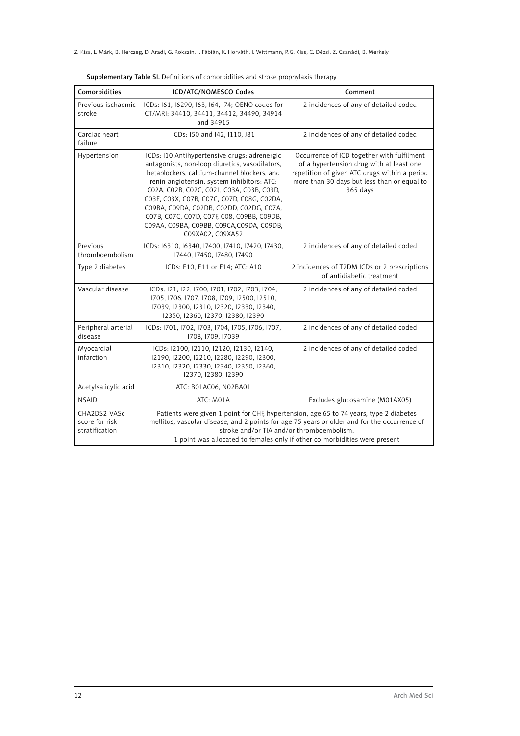| Comorbidities                                    | ICD/ATC/NOMESCO Codes                                                                                                                                                                                                                                                                                                                                                                                                                             | Comment                                                                                                                                                                                                                                                                                                           |
|--------------------------------------------------|---------------------------------------------------------------------------------------------------------------------------------------------------------------------------------------------------------------------------------------------------------------------------------------------------------------------------------------------------------------------------------------------------------------------------------------------------|-------------------------------------------------------------------------------------------------------------------------------------------------------------------------------------------------------------------------------------------------------------------------------------------------------------------|
| Previous ischaemic<br>stroke                     | ICDs: 161, 16290, 163, 164, 174; OENO codes for<br>CT/MRI: 34410, 34411, 34412, 34490, 34914<br>and 34915                                                                                                                                                                                                                                                                                                                                         | 2 incidences of any of detailed coded                                                                                                                                                                                                                                                                             |
| Cardiac heart<br>failure                         | ICDs: 150 and 142, 1110, J81                                                                                                                                                                                                                                                                                                                                                                                                                      | 2 incidences of any of detailed coded                                                                                                                                                                                                                                                                             |
| Hypertension                                     | ICDs: I10 Antihypertensive drugs: adrenergic<br>antagonists, non-loop diuretics, vasodilators,<br>betablockers, calcium-channel blockers, and<br>renin-angiotensin, system inhibitors; ATC:<br>C02A, C02B, C02C, C02L, C03A, C03B, C03D,<br>C03E, C03X, C07B, C07C, C07D, C08G, C02DA,<br>C09BA, C09DA, C02DB, C02DD, C02DG, C07A,<br>C07B, C07C, C07D, C07F, C08, C09BB, C09DB,<br>C09AA, C09BA, C09BB, C09CA, C09DA, C09DB,<br>C09XA02, C09XA52 | Occurrence of ICD together with fulfilment<br>of a hypertension drug with at least one<br>repetition of given ATC drugs within a period<br>more than 30 days but less than or equal to<br>365 days                                                                                                                |
| Previous<br>thromboembolism                      | ICDs: 16310, 16340, 17400, 17410, 17420, 17430,<br>17440, 17450, 17480, 17490                                                                                                                                                                                                                                                                                                                                                                     | 2 incidences of any of detailed coded                                                                                                                                                                                                                                                                             |
| Type 2 diabetes                                  | ICDs: E10, E11 or E14; ATC: A10                                                                                                                                                                                                                                                                                                                                                                                                                   | 2 incidences of T2DM ICDs or 2 prescriptions<br>of antidiabetic treatment                                                                                                                                                                                                                                         |
| Vascular disease                                 | ICDs: 121, 122, 1700, 1701, 1702, 1703, 1704,<br>1705, 1706, 1707, 1708, 1709, 12500, 12510,<br>17039, 12300, 12310, 12320, 12330, 12340,<br>12350, 12360, 12370, 12380, 12390                                                                                                                                                                                                                                                                    | 2 incidences of any of detailed coded                                                                                                                                                                                                                                                                             |
| Peripheral arterial<br>disease                   | ICDs: 1701, 1702, 1703, 1704, 1705, 1706, 1707,<br>1708, 1709, 17039                                                                                                                                                                                                                                                                                                                                                                              | 2 incidences of any of detailed coded                                                                                                                                                                                                                                                                             |
| Myocardial<br>infarction                         | ICDs: I2100, I2110, I2120, I2130, I2140,<br>12190, 12200, 12210, 12280, 12290, 12300,<br>12310, 12320, 12330, 12340, 12350, 12360,<br>12370, 12380, 12390                                                                                                                                                                                                                                                                                         | 2 incidences of any of detailed coded                                                                                                                                                                                                                                                                             |
| Acetylsalicylic acid                             | ATC: B01AC06, N02BA01                                                                                                                                                                                                                                                                                                                                                                                                                             |                                                                                                                                                                                                                                                                                                                   |
| <b>NSAID</b>                                     | ATC: M01A                                                                                                                                                                                                                                                                                                                                                                                                                                         | Excludes glucosamine (M01AX05)                                                                                                                                                                                                                                                                                    |
| CHA2DS2-VASc<br>score for risk<br>stratification |                                                                                                                                                                                                                                                                                                                                                                                                                                                   | Patients were given 1 point for CHF, hypertension, age 65 to 74 years, type 2 diabetes<br>mellitus, vascular disease, and 2 points for age 75 years or older and for the occurrence of<br>stroke and/or TIA and/or thromboembolism.<br>1 point was allocated to females only if other co-morbidities were present |

Supplementary Table SI. Definitions of comorbidities and stroke prophylaxis therapy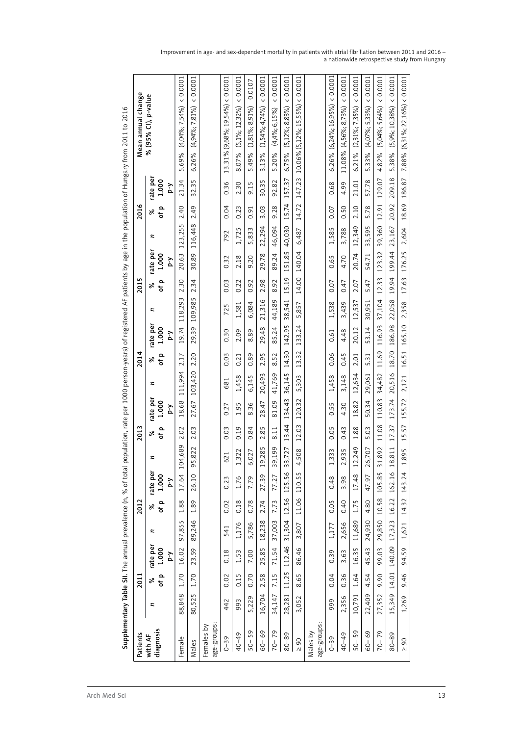| Patients                  |        | 2011  |              |             | 2012  |              |                                   | 2013  |              |         | 2014  |              |                     | 2015                                 |              |             | 2016  |              |        | Mean annual change                 |          |
|---------------------------|--------|-------|--------------|-------------|-------|--------------|-----------------------------------|-------|--------------|---------|-------|--------------|---------------------|--------------------------------------|--------------|-------------|-------|--------------|--------|------------------------------------|----------|
| with AF                   | Z      | ಸಿ    | rate per     | Z           | ಸಿ    | rate per     | z                                 | వి    | rate per     | z       | వి    | rate per     | z                   | ৡ                                    | rate per     | z           | ৡ     | rate per     |        | % (95% Cl), p-value                |          |
| diagnosis                 |        | of p  | 1.000<br>Y-d |             | of p  | 1.000<br>Y-d |                                   | of p  | 1.000<br>λ-d |         | of p  | 1.000<br>λ-d |                     | of p                                 | 1.000<br>λ-d |             | of p  | 1.000<br>λ-d |        |                                    |          |
| Female                    | 88,848 | 1.70  | 16.02        | 5<br>97,85! | 1.88  | I<br>17.64   | 04,689                            | 2.02  | 18.68        | 111,994 | 2.17  | 19.74        | 118,293             | 2.30                                 | 20.63        | Б<br>123,25 | 2.40  | 21.34        | 5.69%  | $(4,04\%; 7,54\%)$                 | 0.0001   |
| Males                     | 80,525 | 1.70  | 23.59        | 89,246      | 1.89  | 26.10        | 5,822<br>Ō                        | 2.03  | 27.67        | 103,420 | 2.20  | 29.39        | 109,985             | 2.34                                 | 30.89        | 116,448     | 2.49  | 32.35        | 6.26%  | $(4,94\%; 7,81\%)$                 | 0.0001   |
| age-groups:<br>Females by |        |       |              |             |       |              |                                   |       |              |         |       |              |                     |                                      |              |             |       |              |        |                                    |          |
| $0 - 39$                  | 442    | 0.02  | 0.18         | 541         | 0.02  | 0.23         | 621                               | 0.03  | ∼<br>0.27    | 681     | 0.03  | 0.30         | 5<br>$\overline{2}$ | 0.03                                 | 0.32         | 792         | 0.04  | 0.36         |        | 13.31% (9,68%; 19,54%) < 0.0001    |          |
| 40-49                     | 993    | 0.15  | 1.53         | 1,176       | 0.18  | 1.76         | ,322                              | 0.19  | 1.95         | 1,458   | 0.21  | 2.09         | 1,581               | 0.22                                 | 2.18         | 1,725       | 0.23  | 2.30         | 8.07%  | $(5,1\%;12,32\%)$                  | 0.0001   |
| $50 - 59$                 | 5,229  | 0.70  | 7.00         | 5,786       | 0.78  | 7.79         | 6,027                             | 0.84  | 8.36         | 6,145   | 0.89  | 8.89         | 6,084               | 0.92                                 | 9.20         | 5,833       | 0.91  | 9.15         | 5.49%  | $(1,81\%, 8,91\%)$                 | 0.0107   |
| 60-69                     | 16,704 | 2.58  | 25.85        | 18,238      | 2.74  | 27.39        | 9,285<br>$\overline{ }$           | 2.85  | 28.47        | 20,493  | 2.95  | 29.48        | 21,316              | 2.98                                 | 29.78        | 22,294      | 3.03  | 30.35        | 3.13%  | $(1,54\%, 4,74\%)$                 | 0.0001   |
| $70 - 79$                 | 34,147 | 7.15  | 71.54        | 37,003      | 7.73  | 77.27        | 9,199<br>$\sim$                   | 8.11  | 81.09        | 41,769  | 8.52  | 85.24        | 44,189              | 8.92                                 | 89.24        | 46,094      | 9.28  | 92.82        | 5.20%  | $(4,4\%; 6,15\%)$                  | 0.0001   |
| 80-89                     | 28,281 | 11.25 | 112.46       | 31,304      | 12.56 | 125.56       | 3,727<br>S                        | 13.44 | 134.43       | 36,145  | 14.30 | 142.95       | 38,541              | Q<br>5.1<br>$\overline{\phantom{0}}$ | 151.85       | 40,030      | 15.74 | 157.37       | 6.75%  | $(5, 12\%, 8, 83\%)$               | 0.0001   |
| $\geq 90$                 | 3,052  | 8.65  | 86.46        | 3,807       | 11.06 | 110.55       | 4,508                             | 12.03 | 120.32       | 5,303   | 13.32 | 133.24       | 5,857               | 14.00                                | 140.04       | 6,487       | 14.72 | 147.23       |        | $10.06\%$ (5,12%; 15,55%) < 0.0001 |          |
| age-groups:<br>Males by   |        |       |              |             |       |              |                                   |       |              |         |       |              |                     |                                      |              |             |       |              |        |                                    |          |
| $0 - 39$                  | 999    | 0.04  | 0.39         | 1,177       | 0.05  | 0.48         | ,333                              | 0.05  | 0.55         | 1,458   | 0.06  | 0.61         | 1,538               | 0.07                                 | 0.65         | 1,585       | 0.07  | 0.68         | 6.26%  | $(6,24\%; 16,95\%)$                | 0.0001   |
| 40-49                     | 2,356  | 0.36  | 3.63         | 2,656       | 0.40  | 3.98         | 2,935                             | 0.43  | 4.30         | 3,148   | 0.45  | 4.48         | 3,439               | 0.47                                 | 4.70         | 3,788       | 0.50  | 4.99         | 11.08% | $(4,56\%; 8,73\%)$                 | 0.0001   |
| 50-59                     | 10,791 | 1.64  | 16.35        | 11,689      | 1.75  | 17.48        | 2,249                             | 1.88  | 18.82        | 12,634  | 2.01  | 20.12        | 12,537              | 2.07                                 | 20.74        | 12,349      | 2.10  | 21.01        | 6.21%  | $(2,31\%, 7,35\%)$                 | 0.0001   |
| 60-69                     | 22,409 | 4.54  | 45.43        | 24,930      | 4.80  | 47.97        | 6,707<br>$\sim$                   | 5.03  | 50.34        | 29,061  | 5.31  | 53.14        | 30,951              | 5.47                                 | 54.71        | 33,595      | 5.78  | 57.78        | 5.33%  | $(4,07\%; 5,33\%)$                 | 0.0001   |
| $70 - 79$                 | 27,352 | 9.90  | 99.03        | 29,850      | 10.58 | 105.85       | 1,892<br>$\sim$                   | 11.08 | 110.83       | 34,482  | 11.69 | 116.93       | 37,104              | 12.33                                | 123.32       | 39,360      | 12.91 | 129.07       | 4.82%  | $(5,04\%; 5,64\%)$                 | 0.0001   |
| 80-89                     | 15,349 | 14.01 | 140.09       | 17,323      | 16.22 | 162.16       | 8,811<br>$\overline{\phantom{0}}$ | 17.37 | 173.74       | 20,516  | 18.70 | 186.98       | 22,058              | 19.94                                | 199.44       | 23,167      | 20.92 | 209.18       | 5.38%  | $(5,9\%; 10,38\%)$                 | (0.0001) |
| $\geq 90$                 | 1,269  | 9.46  | 94.59        | 1,621       | 14.32 | 143.24       | ,895                              | 15.57 | 155.72       | 2,121   | 16.51 | 165.10       | 2,358               | 17.63                                | 176.25       | 2,604       | 18.69 | 186.87       | 7.88%  | $(6,31\%; 22,16\%) < 0.0001$       |          |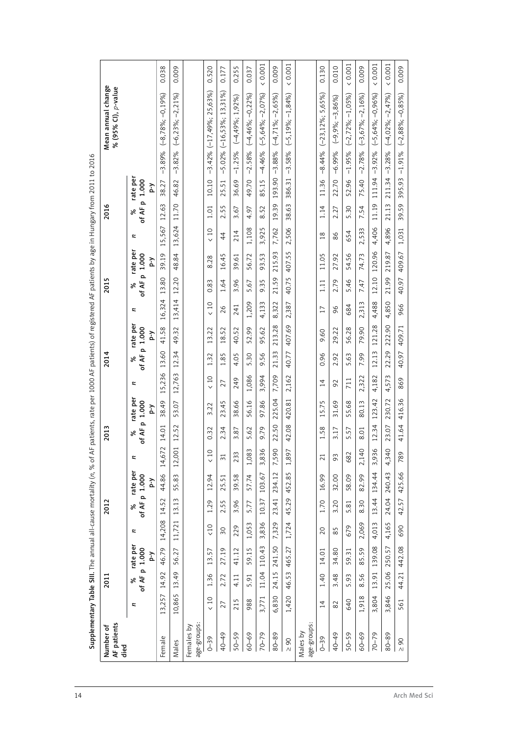| AF patients<br>Number of  |           | 2011                |                 |            | 2012                |                 |                 | 2013               |                 |        | 2014    |                                  |                 | 2015        |                            |               | 2016        |                            |           | Mean annual change<br>% (95% CI), p-value |                       |
|---------------------------|-----------|---------------------|-----------------|------------|---------------------|-----------------|-----------------|--------------------|-----------------|--------|---------|----------------------------------|-----------------|-------------|----------------------------|---------------|-------------|----------------------------|-----------|-------------------------------------------|-----------------------|
| died                      | z         | of AF p 1.000<br>ಸಿ | rate per<br>Υ-d | Z          | of AF p 1.000<br>ಸಿ | rate per<br>ζ-d | Z               | of AF p 1.000<br>ৡ | rate per<br>ζ-d | z      | ৯       | rate per<br>of AF p 1.000<br>Υ-d | z               | of AF<br>వి | rate per<br>p 1.000<br>λ-d | z             | of AF<br>వి | rate per<br>p 1.000<br>λ-d |           |                                           |                       |
| Female                    | 13,257    | 14.92               | 46.79           | 14,208     | 14.52               | 44.86           | $\sim$<br>14,67 | 14.01              | 38.49           | 15,236 | 13.60   | 41.58                            | 16,324          | 13.80       | 39.19                      | 15,567        | 12.63       | 38.27                      |           | $-3.89\%$ $(-8.78\%; -0.19\%)$            | 0.038                 |
| Males                     | 10,865    | 13.49               | 56.27           | 11,721     | 13.13               | 55.83           | 12,00           | 12.52              | 53.07           | 12,763 | 12.34   | 49.32                            | 13,414          | 12.20       | 48.84                      | 13,624        | 11.70       | 46.82                      | $-3.82%$  | $(-6,23\%; -2,21\%)$                      | 0.009                 |
| age-groups:<br>Females by |           |                     |                 |            |                     |                 |                 |                    |                 |        |         |                                  |                 |             |                            |               |             |                            |           |                                           |                       |
| $0 - 39$                  | $\leq 10$ | 1.36                | 13.57           | $\zeta$ 10 | 1.29                | 12.94           | < 10            | 0.32               | 3.22            | < 10   | 1.32    | 13.22                            | $\leq 10$       | 0.83        | 8.28                       | $\leq 10$     | 1.01        | 10.10                      |           | $-3.42\%$ $(-17,49\%; 25,63\%)$           | 0.520                 |
| 40-49                     | 27        | 2.72                | 27.19           | 50         | 2.55                | 25.51           | $\overline{31}$ | 2.34               | 23.45           | 27     | 1.85    | 52<br>18.                        | 26              | 1.64        | 16.45                      | 44            | 2.55        | 25.51                      | $-5.02%$  | $(-16,53\%; 13,31\%)$                     | 0.177                 |
| $50 - 59$                 | 215       | 4.11                | 41.12           | 229        | 3.96                | 39.58           | 233             | 3.87               | 38.66           | 249    | 4.05    | 40.52                            | 241             | 3.96        | 39.61                      | 214           | 3.67        | 36.69                      | $-1.25%$  | $(-4,49\%; 1,92\%)$                       | 0.255                 |
| 60-69                     | 988       | 5.91                | 59.15           | 1,053      | 5.77                | 57.74           | 1,083           | 5.62               | 56.16           | 1,086  | 5.30    | 52.99                            | 1,209           | 5.67        | 56.72                      | 1,108         | 4.97        | 49.70                      | $-2.58%$  | $(-4,46\%; -0,22\%)$                      | 0.037                 |
| 70-79                     | 3,771     | 11.04               | 110.43          | 3,836      | 10.37               | 103.67          | 3,836           | 9.79               | 97.86           | 3,994  | 9.56    | 95.62                            | 4,133           | 9.35        | 93.53                      | Б<br>3,92     | 8.52        | 85.15                      | $-4.46%$  | $(-5,64\%; -2,07\%)$                      | (0.001)               |
| 80-89                     | 6,830     | 24.15               | 241.50          | 7,329      | 23.41               | 234.12          | 7,590           | 22.50              | 225.04          | 7,709  | 21.33   | 213.28                           | 8,322           | 21.59       | 215.93                     | 7,762         | 19.39       | 193.90                     | $-3.88%$  | $(-4, 71\%; -2, 65\%)$                    | 0.009                 |
| $\geq 90$                 | 1,420     | 46.53               | 465.27          | 1,724      | 45.29               | 452.85          | 1,897           | 42.08              | 420.81          | 2,162  | 40.77   | 407.69                           | 2,387           | 40.75       | 407.55                     | 2,506         | 38.63       | 386.31                     | $-3.58%$  | $(-5, 19\%; -1, 84\%)$                    | (0.001)               |
| age-groups<br>Males by    |           |                     |                 |            |                     |                 |                 |                    |                 |        |         |                                  |                 |             |                            |               |             |                            |           |                                           |                       |
| $0 - 39$                  | 14        | 1.40                | 14.01           | 20         | 1.70                | 16.99           | $\overline{21}$ | 1.58               | 5<br>15.7       | 14     | 96<br>ö | 9.60                             | $\overline{17}$ | 1.11        | 11.05                      | $\infty$<br>1 | 1.14        | 11.36                      | $-8.44%$  | $(-23, 12\%; 5, 65\%)$                    | 0.130                 |
| 40-49                     | 82        | 3.48                | 34.80           | 85         | 3.20                | 32.00           | 93              | 3.17               | 31.69           | 92     | 2.92    | 29.22                            | 96              | 2.79        | 27.92                      | 86            | 2.27        | 22.70                      | $-6.99%$  | $(-9,9\%; -3,86\%)$                       | 0.010                 |
| 50-59                     | 640       | 5.93                | 59.31           | 679        | 5.81                | 58.09           | 682             | 57<br>j.           | 55.68           | 711    | 5.63    | 56.28                            | 684             | 5.46        | 54.56                      | 654           | 5.30        | 52.96                      | $-1.95%$  | $(-2, 72\%; -1, 05\%)$                    | (0.001)               |
| 60-69                     | 1,918     | 8.56                | 85.59           | 2,069      | 8.30                | 82.99           | 2,140           | 8.01               | 80.13           | 2,322  | 7.99    | 79.90                            | 2,313           | 7.47        | 74.73                      | 2,533         | 7.54        | 75.40                      | $-2.78%$  | $(-3,67\%; -2,16\%)$                      | 0.009                 |
| 70-79                     | 3,804     | 13.91               | 139.08          | 4,013      | 13.44               | 134.44          | 3,936           | 12.34              | 123.42          | 4,182  | 12.13   | 121.28                           | 4,488           | 12.10       | 120.96                     | 4,406         | 11.19       | 111.94                     | $-3.92%$  | $(-5,64\%; -0.96\%)$                      | 0.001<br>$\checkmark$ |
| 80-89                     | 3,846     | 25.06               | 250.57          | 4,165      | 24.04               | 240.43          | 4,340           | 23.07              | 230.72          | 4,573  | 22.29   | 222.90                           | 4,850           | 21.99       | 219.87                     | 4,896         | 21.13       | 211.34                     | $-3.28%$  | $(-4,02\%; -2,47\%)$                      | (0.001)               |
| $\geq 90$                 | 561       | 44.21               | 442.08          | 690        | 42.57               | 425.66          | 789             | 41.64              | 416.36          | 869    | 40.97   | 409.71                           | 966             | 40.97       | 409.67                     | 1,031         | 39.59       | 395.93                     | $-1.91\%$ | $(-2,88\%; -0,85\%)$                      | 0.009                 |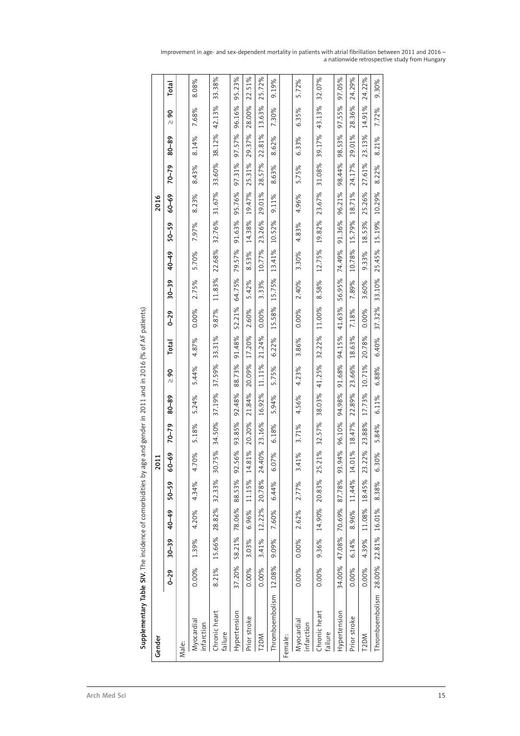$\overline{\phantom{a}}$ 

 $\overline{\phantom{a}}$ 

 $\overline{\phantom{0}}$ 

 $\overline{\phantom{a}}$ 

 $\overline{\phantom{a}}$ ┑

| Gender                   |          |           |               |           | 2011             |           |           |               |              |          |           |        |           | 2016   |           |        |               |
|--------------------------|----------|-----------|---------------|-----------|------------------|-----------|-----------|---------------|--------------|----------|-----------|--------|-----------|--------|-----------|--------|---------------|
|                          | $0 - 29$ | $30 - 39$ | $40 - 49$     | $50 - 59$ | 60-69            | $70 - 79$ | $80 - 89$ | 8<br>$\wedge$ | <b>Total</b> | $0 - 29$ | $30 - 39$ | 40-49  | $50 - 59$ | 60-69  | $70 - 79$ | 80-89  | 8<br>$\wedge$ |
| Male:                    |          |           |               |           |                  |           |           |               |              |          |           |        |           |        |           |        |               |
| Myocardial<br>infarction | 0.00%    | 1.39%     | 4.20%         | 4.34%     | 4.70%            | 5.18%     | 5.24%     | 5.44%         | 4.87%        | 0.00%    | 2.75%     | 5.70%  | 7.97%     | 8.23%  | 8.43%     | 8.14%  | 7.68%         |
| Chronic heart<br>failure | 8.21%    | 15.66%    | 28.82%        | 32.33%    | 10.75%<br>m      | 34.50%    | 37.19%    | 37.59%        | 33.31%       | 9.87%    | 11.83%    | 22.68% | 32.76%    | 31.67% | 33.60%    | 38.12% | 42.13%        |
| Hypertension             | 37.20%   | 58.21%    | 78.06%        | 88.53%    | 92.56%<br>Ō      | 93.85%    | 92.48%    | 88.73%        | 91.48%       | 52.21%   | 64.75%    | 79.57% | 91.63%    | 95.76% | 97.31%    | 97.57% | 96.16%        |
| Prior stroke             | 0.00%    | 3.03%     | 6.96%         | 11.15%    | 4.81%            | 20.20%    | 21.84%    | 20.09%        | 17.20%       | 2.60%    | 5.42%     | 8.53%  | 14.38%    | 19.47% | 25.31%    | 29.37% | 28.00%        |
| T <sub>2</sub> DM        | 0.00%    | 3.41%     | 12.22%        | 20.78%    | 24.40%           | 23.16%    | 16.92%    | 11.11%        | 21.24%       | 0.00%    | 3.33%     | 10.77% | 23.26%    | 29.01% | 28.57%    | 22.81% | 13.63%        |
| Thromboembolism          | 12.08%   | 9.09%     | 7.60%         | 6.44%     | 6.07%            | 6.18%     | 5.94%     | 5.75%         | 6.22%        | 15.58%   | 15.75%    | 13.41% | 10.52%    | 9.11%  | 8.63%     | 8.62%  | 7.30%         |
| Female:                  |          |           |               |           |                  |           |           |               |              |          |           |        |           |        |           |        |               |
| Myocardial<br>infarction | 0.00%    | 0.00%     | 2.62%         | 2.77%     | 3.41%            | 3.71%     | 4.56%     | 4.23%         | 3.86%        | 0.00%    | 2.40%     | 3.30%  | 4.83%     | 4.96%  | 5.75%     | 6.33%  | 6.35%         |
| Chronic heart<br>failure | 0.00%    | 9.36%     | 14.90% 20.83% |           | 5.21%<br>$\sim$  | 32.57%    | 38.03%    | 41.25%        | 32.22%       | 11.00%   | 8.58%     | 12.75% | 19.82%    | 23.67% | 31.08%    | 39.17% | 43.13%        |
| Hypertension             | 34.00%   | 47.08%    | 70.69%        | 87.78%    | 13.94%<br>Ō      | 96.10%    | 94.98%    | 91.68%        | 94.15%       | 41.63%   | 56.95%    | 74.49% | 91.36%    | 96.21% | 98.44%    | 98.53% | 97.55%        |
| Prior stroke             | 0.00%    | 6.14%     | 8.96%         | 11.44%    | 14.01%           | 18.47%    | 22.89%    | 23.66%        | 18.63%       | 7.18%    | 7.89%     | 10.78% | 15.79%    | 18.71% | 24.17%    | 29.01% | 28.36%        |
| T <sub>2</sub> DM        | 0.00%    | 4.39%     | 11.08%        | 18.45%    | 13.22%<br>$\sim$ | 23.88%    | 17.73%    | 10.71%        | 20.78%       | 0.00%    | 3.60%     | 9.33%  | 18.53%    | 25.26% | 27.61%    | 23.13% | 14.91%        |
| Thromboembolism          | 28.00%   | 22.81%    | 16.01%        | 8.38%     | 6.30%            | 5.84%     | 6.11%     | 6.88%         | 6.40%        | 37.32%   | 33.10%    | 25.45% | 15.19%    | 10.29% | 8.22%     | 8.21%  | 7.72%         |

 $\mathbf{r}$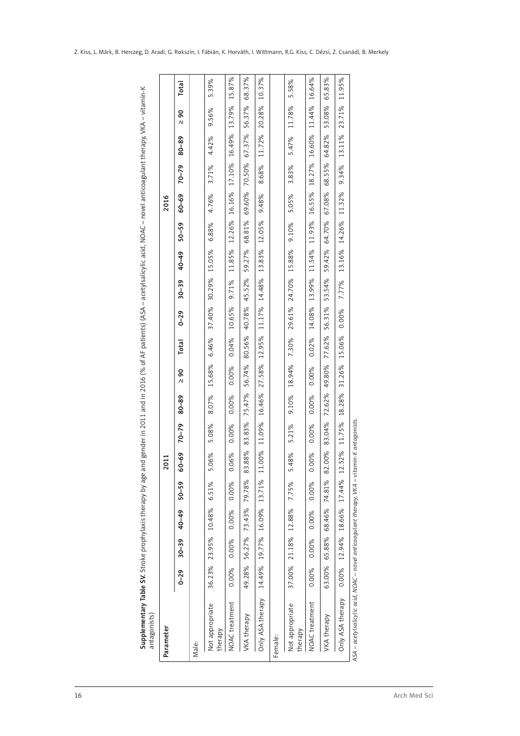| Parameter                  |          |                      |        |           | 2011                  |           |        |         |              |          |           |        |           | 2016   |           |        |                                        |              |
|----------------------------|----------|----------------------|--------|-----------|-----------------------|-----------|--------|---------|--------------|----------|-----------|--------|-----------|--------|-----------|--------|----------------------------------------|--------------|
|                            | $0 - 29$ | $30 - 39$            | 40-49  | $50 - 59$ | <u>နို</u><br>ငွ      | $70 - 79$ | 80-89  | g<br>ΛΙ | <b>Total</b> | $0 - 29$ | $30 - 39$ | 40-49  | $50 - 59$ | 60-69  | $70 - 79$ | 80-89  | $\mathsf{S}^{\mathsf{O}}$<br>$\Lambda$ | <b>Total</b> |
| Male:                      |          |                      |        |           |                       |           |        |         |              |          |           |        |           |        |           |        |                                        |              |
| Not appropriate<br>therapy |          | 36.23% 23.95% 10.48% |        | 6.51%     | 5.06%                 | 5.08%     | 8.07%  | 15.68%  | 6.46%        | 37.40%   | 30.29%    | 15.05% | 6.88%     | 4.76%  | 3.71%     | 4.42%  | 9.56%                                  | 5.39%        |
| NOAC treatment             | 0.00%    | 0.00%                | 0.00%  | 0.00%     | 0.06%                 | 0.00%     | 0.00%  | 0.00%   | 0.04%        | 10.65%   | 9.71%     | 11.85% | 12.26%    | 16.16% | 17.10%    | 16.49% | 13.79%                                 | 15.87%       |
| VKA therapy                | 49.28%   | 56.27%               | 73.43% | 79.78%    | .88%<br>$\frac{2}{8}$ | 83.83%    | 75.47% | 56.74%  | 80.56%       | 40.78%   | 45.52%    | 59.27% | 68.81%    | 69.60% | 70.50%    | 67.37% | 56.37%                                 | 68.37%       |
| Only ASA therapy           | 14.49%   | 19.77%               | 16.09% | 13.71%    | 00%<br>$\frac{1}{1}$  | 11.09%    | 16.46% | 27.58%  | 12.95%       | 11.17%   | 14.48%    | 13.83% | 12.05%    | 9.48%  | 8.68%     | 11.72% | 20.28%                                 | 10.37%       |
| Female:                    |          |                      |        |           |                       |           |        |         |              |          |           |        |           |        |           |        |                                        |              |
| Not appropriate<br>therapy | 37.00%   | 21.18%               | 12.88% | 7.75%     | 5.48%                 | 5.21%     | 9.10%  | 18.94%  | 7.30%        | 29.61%   | 24.70%    | 15.88% | 9.10%     | 5.05%  | 3.83%     | 5.47%  | 11.78%                                 | 5.58%        |
| NOAC treatment             | 0.00%    | 0.00%                | 0.00%  | 0.00%     | 0.00%                 | 0.00%     | 0.00%  | 0.00%   | 0.02%        | 14.08%   | 13.99%    | 11.54% | 11.93%    | 16.55% | 18.27%    | 16.60% | 11.44%                                 | 16.64%       |
| VKA therapy                | 63.00%   | 65.88%               | 68.46% | 74.81%    | 82.00%                | 83.04%    | 72.62% | 49.80%  | 77.62%       | 56.31%   | 53.54%    | 59.42% | 64.70%    | 67.08% | 68.55%    | 64.82% | 53.08%                                 | 65.83%       |
| Only ASA therapy           | 0.00%    | 12.94%               | 18.66% | 17.44%    | 52%<br>12.            | 11.75%    | 18.28% | 31.26%  | 15.06%       | 0.00%    | 7.77%     | 13.16% | 14.26%    | 11.32% | 9.34%     | 13.11% | 23.71%                                 | 11.95%       |